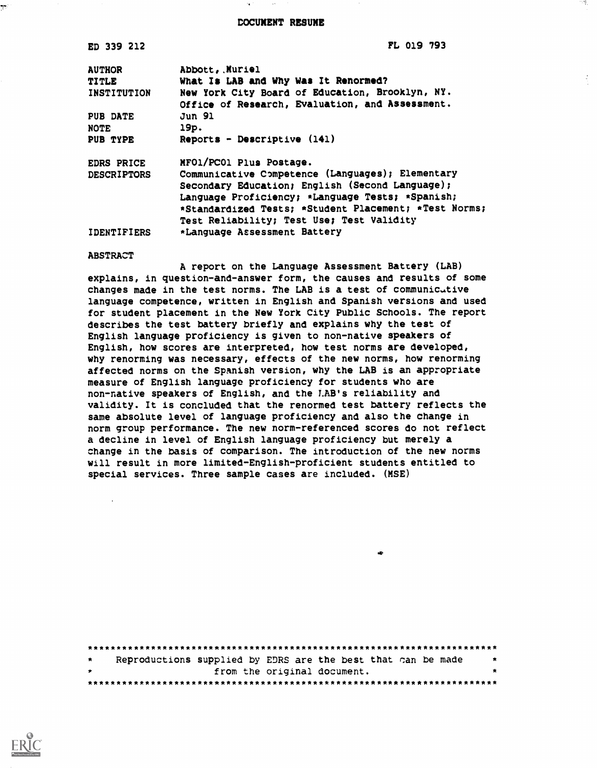DOCUMENT RESUME

| ED 339 212         | FL 019 793                                            |
|--------------------|-------------------------------------------------------|
| <b>AUTHOR</b>      | Abbott, Muriel                                        |
| <b>TITLE</b>       | What Is LAB and Why Was It Renormed?                  |
| INSTITUTION        | New York City Board of Education, Brooklyn, NY.       |
|                    | Office of Research, Evaluation, and Assessment.       |
| PUB DATE           | <b>Jun 91</b>                                         |
| <b>NOTE</b>        | 19p.                                                  |
| PUB TYPE           | Reports - Descriptive $(141)$                         |
| EDRS PRICE         | MFO1/PC01 Plus Postage.                               |
| <b>DESCRIPTORS</b> | Communicative Competence (Languages); Elementary      |
|                    | Secondary Education; English (Second Language);       |
|                    | Language Proficiency; *Language Tests; *Spanish;      |
|                    | *Standardized Tests; *Student Placement; *Test Norms; |
|                    | Test Reliability; Test Use; Test Validity             |
| <b>IDENTIFIERS</b> | *Language Assessment Battery                          |
| <b>ABSTRACT</b>    |                                                       |

A report on the Language Assessment Battery (LAB) explains, in question-and-answer form, the causes and results of some changes made in the test norms. The LAB is a test of communicutive language competence, written in English and Spanish versions and used for student placement in the New York City Public Schools. The report describes the test battery briefly and explains why the test of English language proficiency is given to non-native speakers of English, how scores are interpreted, how test norms are developed, why renorming was necessary, effects of the new norms, how renorming affected norms on the Spanish version, why the LAB is an appropriate measure of English language proficiency for students who are non-native speakers of English, and the LAB's reliability and validity. It is concluded that the renormed test battery reflects the same absolute level of language proficiency and also the change in norm group performance. The new norm-referenced scores do not reflect a decline in level of English language proficiency but merely a change in the basis of comparison. The introduction of the new norms will result in more limited-English-proficient students entitled to special services. Three sample cases are included. (MSE)

| $\star$ |  |                             | Reproductions supplied by EDRS are the best that can be made |   |
|---------|--|-----------------------------|--------------------------------------------------------------|---|
| . ★     |  | from the original document. |                                                              | * |
|         |  |                             |                                                              |   |



 $\frac{1}{2}$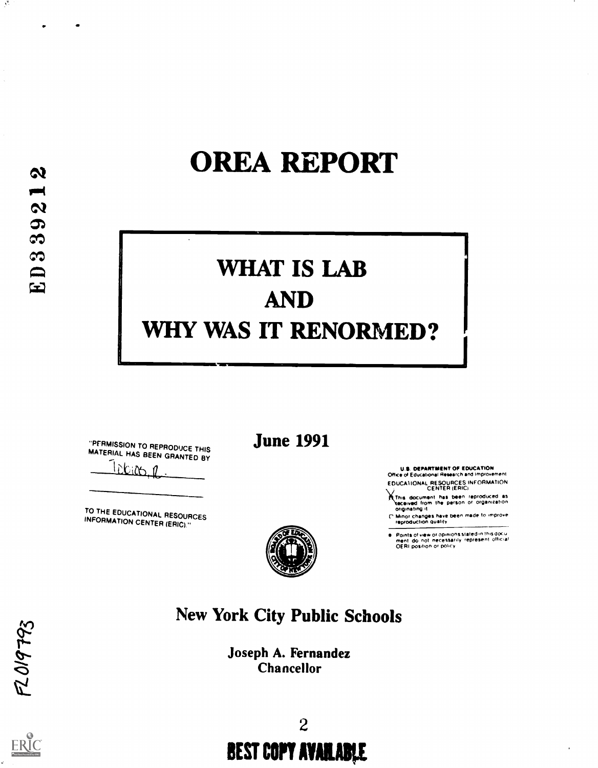# OREA REPORT

# WHAT IS LAB AND WHY WAS IT RENORMED?

"PERMISSION TO REPRODUCE THIS<br>MATERIAL HAS BEEN GRANTED BY

TO THE EDUCATIONAL RESOURCES INFORMATION CENTER (ERIC)."

June 1991

U.S. DEPARTMENT OF EDUCATION Orrice or Education& Research and improvement

EDUCATIONAL RESOURCES INFORMATION<br>CENTER (ERIC)

CENTER (ERIC)<br>Mithis document has been reproduced as<br>Received from the person or organization originating it

C Minor changes have been made to improve.<br>- reproduction quality

Points of view or opinions stated in this docul<br>ment ido, not inecessarily irepresent official<br>OERI position or policy



## New York City Public Schools

Joseph A. Fernandez Chancellor



 $\Delta_{\rm eff}$ 



 $F2019793$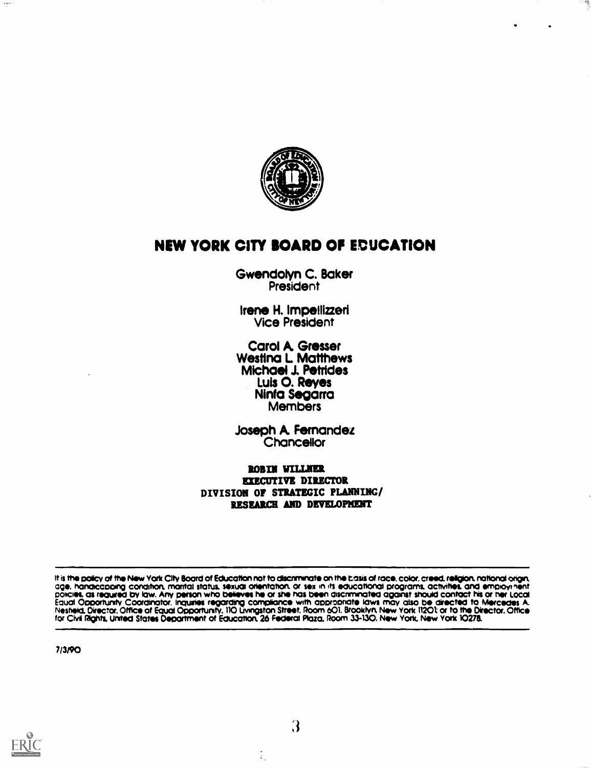

感

## NEW YORK CITY BOARD OF EDUCATION

Gwendolyn C. Baker President

Irene H. Impellizzeri Vice President

Carol A. Grosser Wesffna L Matthews Michael J. Petrides<br>Luis O. Reyes Ninfa Segarra<br>Members

Joseph A Fernandez **Chancellor** 

ROBIN WILLNER EXECUTIVE DIRECTOR DIVISION OF STRATEGIC PLANNING/ RESEARCH AND DEVELOPKENT

It is the policy of the New York City Board of Education not to discriminate on the basis of race, color, creed, religion, national origin,<br>age, handicapping condition, marital status, sexual orientation, or sex in its edu Nestield, Director. Office of Equal Opportunity. 110 Livingston Street. Room 601. Brooklyn. New York 11201: or to the Director. Office for Civil Rights, United States Department of Education, 26 Federal Plaza, Room 33-130. New York, New York 10278.

7/3/90



 $\mathbf{v}$  sets

3

 $\frac{1}{2}$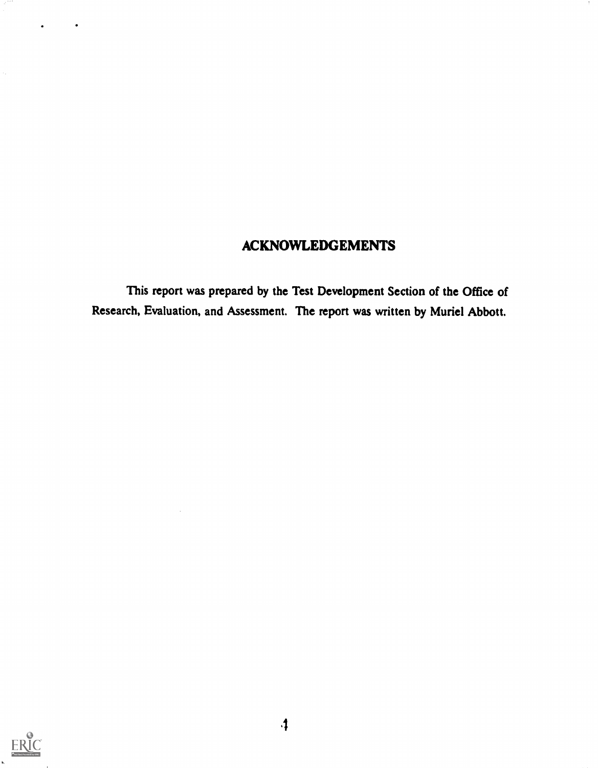## ACKNOWLEDGEMENTS

This report was prepared by the Test Development Section of the Office of Research, Evaluation, and Assessment. The report was written by Muriel Abbott.



 $\epsilon_{\rm g}$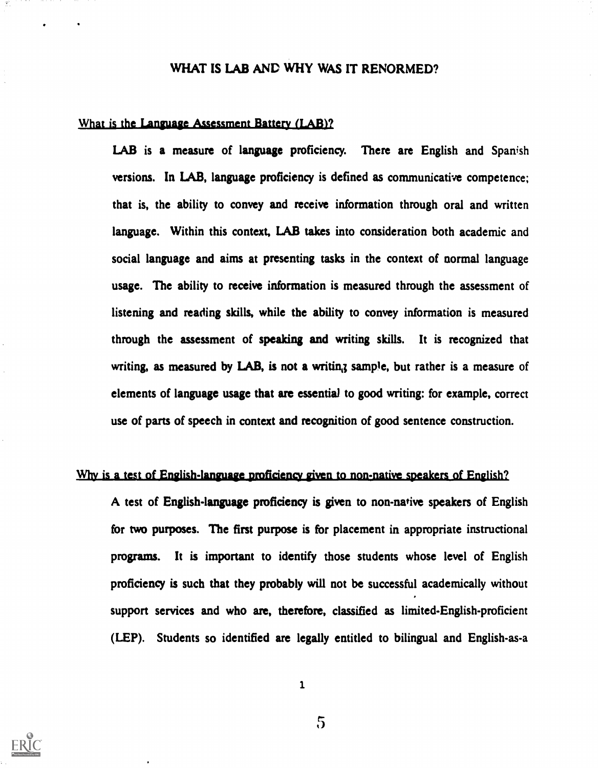## WHAT IS LAB AND WHY WAS IT RENORMED?

#### What is the Language Assessment Battery (LAB)?

LAB is a measure of language proficiency. There are English and Spanish versions. In LAB, language proficiency is defined as communicative competence; that is, the ability to convey and receive information through oral and written language. Within this context, LAB takes into consideration both academic and social language and aims at presenting tasks in the context of normal language usage. The ability to receive information is measured through the assessment of listening and reading skills, while the ability to convey information is measured through the assessment of speaking and writing skills. It is recognized that writing, as measured by LAB, is not a writing sample, but rather is a measure of elements of language usage that are essential to good writing: for example, correct use of parts of speech in context and recognition of good sentence construction.

#### Why is a test of English-language proficiency given to non-native speakers of English?

A test of English-language proficiency is given to non-native speakers of English for two purposes. The first purpose is for placement in appropriate instructional programs. It is important to identify those students whose level of English proficiency is such that they probably will not be successful academically without support services and who are, therefore, classified as limited-English-proficient (LEP). Students so identified are legally entitled to bilingual and English-as-a



1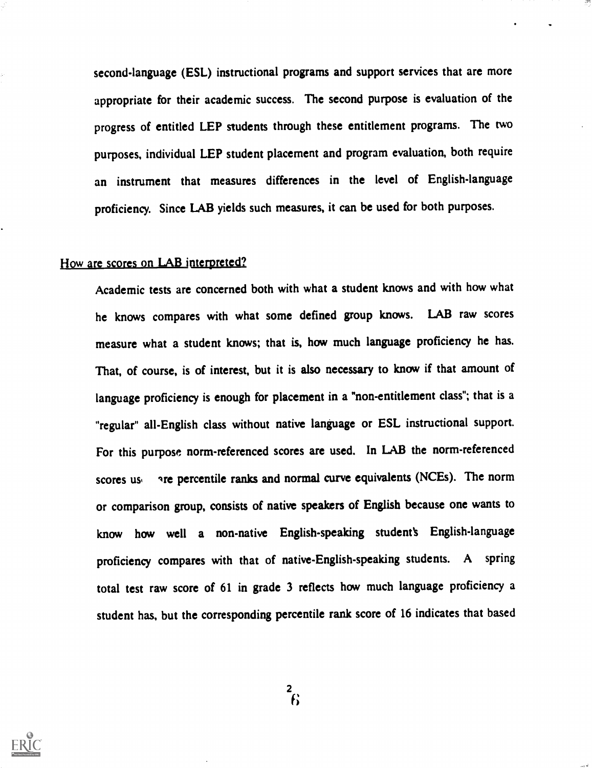second-language (ESL) instructional programs and support services that are more appropriate for their academic success. The second purpose is evaluation of the progress of entitled LEP students through these entitlement programs. The two purposes, individual LEP student placement and program evaluation, both require an instrument that measures differences in the level of English-language proficiency. Since LAB yields such measures, it can be used for both purposes.

#### How are scores on LAB interpreted?

Academic tests are concerned both with what a student knows and with how what he knows compares with what some defined group knows. LAB raw scores measure what a student knows; that is, how much language proficiency he has. That, of course, is of interest, but it is also necessary to know if that amount of language proficiency is enough for placement in a "non-entitlement class"; that is a "regular" all-English class without native language or ESL instructional support. For this purpose norm-referenced scores are used. In LAB the norm-referenced scores us gree percentile ranks and normal curve equivalents (NCEs). The norm or comparison group, consists of native speakers of English because one wants to know how well a non-native English-speaking student's English-language proficiency compares with that of native-English-speaking students. A spring total test raw score of 61 in grade 3 reflects how much language proficiency a student has, but the corresponding percentile rank score of 16 indicates that based

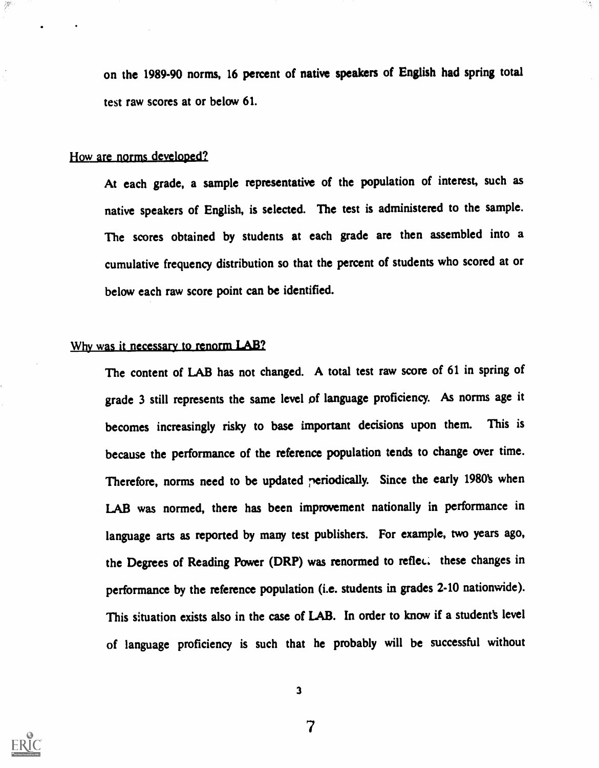on the 1989-90 norms, 16 percent of native speakers of English had spring total test raw scores at or below 61.

#### How are norms developed?

Z∰

At each grade, a sample representative of the population of interest, such as native speakers of English, is selected. The test is administered to the sample. The scores obtained by students at each grade are then assembled into a cumulative frequency distribution so that the percent of students who scored at or below each raw score point can be identified.

## Why was it necessary to renorm LAB?

The content of LAB has not changed. A total test raw score of 61 in spring of grade 3 still represents the same level of language proficiency. As norms age it becomes increasingly risky to base important decisions upon them. This is because the performance of the reference population tends to change over time. Therefore, norms need to be updated periodically. Since the early 1980's when LAB was normed, there has been improvement nationally in performance in language arts as reported by many test publishers. For example, two years ago, the Degrees of Reading Power (DRP) was renormed to reflec. these changes in performance by the reference population (i.e. students in grades 2-10 nationwide). This situation exists also in the case of LAB. In order to know if a student's level of language proficiency is such that he probably will be successful without



3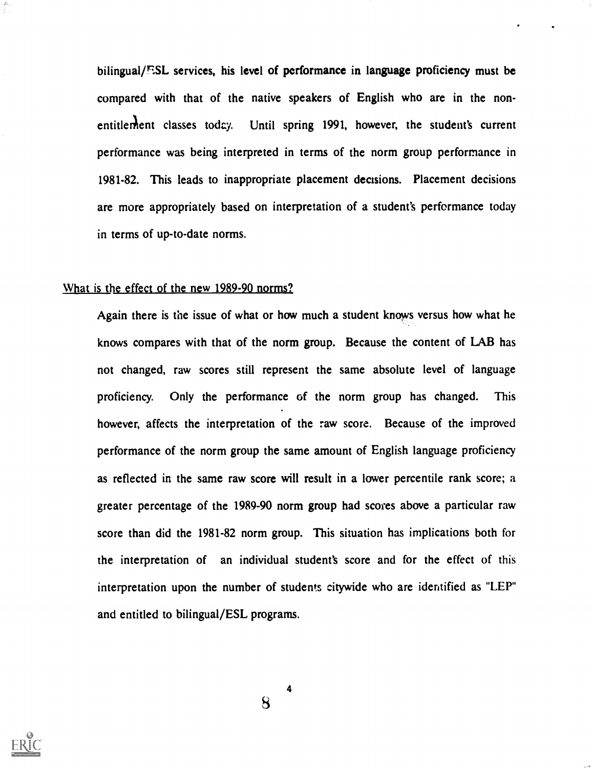bilingual/ESL services, his level of performance in language proficiency must be compared with that of the native speakers of English who are in the nonentitlement classes today. Until spring 1991, however, the student's current performance was being interpreted in terms of the norm group performance in 1981-82. This leads to inappropriate placement decisions. Placement decisions are more appropriately based on interpretation of a student's performance today in terms of up-to-date norms.

#### What is the effect of the new 1989-90 norms?

Again there is the issue of what or how much a student knows versus how what he knows compares with that of the norm group. Because the content of LAB has not changed, raw scores still represent the same absolute level of language proficiency. Only the performance of the norm group has changed. This however, affects the interpretation of the raw score. Because of the improved performance of the norm group the same amount of English language proficiency as reflected in the same raw score will result in a lower percentile rank score; a greater percentage of the 1989-90 norm group had scores above a particular raw score than did the 1981-82 norm group. This situation has implications both for the interpretation of an individual student's score and for the effect of this interpretation upon the number of students citywide who are identified as "LEP" and entitled to bilingual/ESL programs.



 $\bf{8}$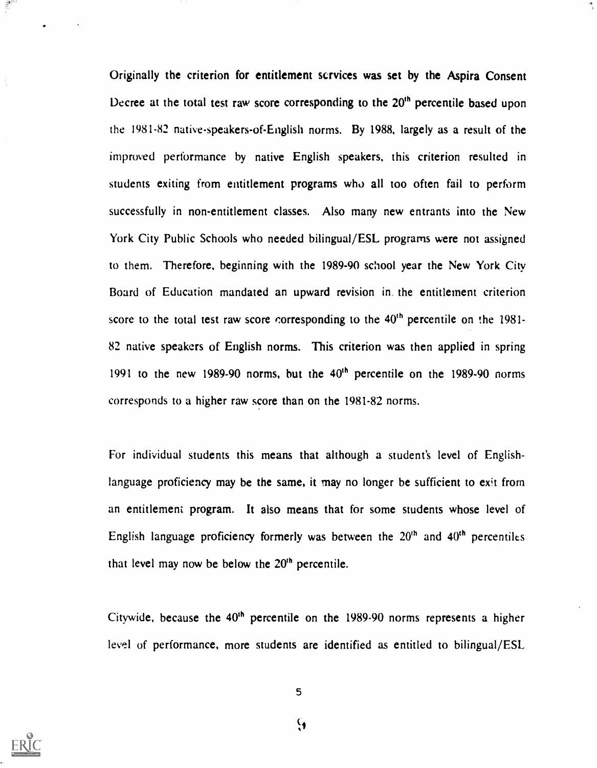Originally the criterion for entitlement scrvices was set by the Aspira Consent Decree at the total test raw score corresponding to the  $20<sup>th</sup>$  percentile based upon the 1981-82 native-speakers-of-English norms. By 1988, largely as a result of the improved performance by native English speakers, this criterion resulted in students exiting from entitlement programs who all too often fail to perform successfully in non-entitlement classes. Also many new entrants into the New York City Public Schools who needed bilingual/ESL programs were not assigned to them. Therefore, beginning with the 1989-90 school year the New York City Board of Education mandated an upward revision in. the entitlement criterion score to the total test raw score corresponding to the 40<sup>th</sup> percentile on the 1981-82 native speakers of English norms. This criterion was then applied in spring 1991 to the new 1989-90 norms, but the  $40<sup>th</sup>$  percentile on the 1989-90 norms corresponds to a higher raw score than on the 1981-82 norms.

For individual students this means that although a student's level of Englishlanguage proficiency may be the same, it may no longer be sufficient to exit from an entitlement program. It also means that for some students whose level of English language proficiency formerly was between the  $20<sup>th</sup>$  and  $40<sup>th</sup>$  percentiles that level may now be below the  $20<sup>th</sup>$  percentile.

Citywide, because the  $40<sup>th</sup>$  percentile on the 1989-90 norms represents a higher level of performance, more students are identified as entitled to bilingual/ESL



 $\frac{1}{2}$ 

5

 $\mathbf{Q}$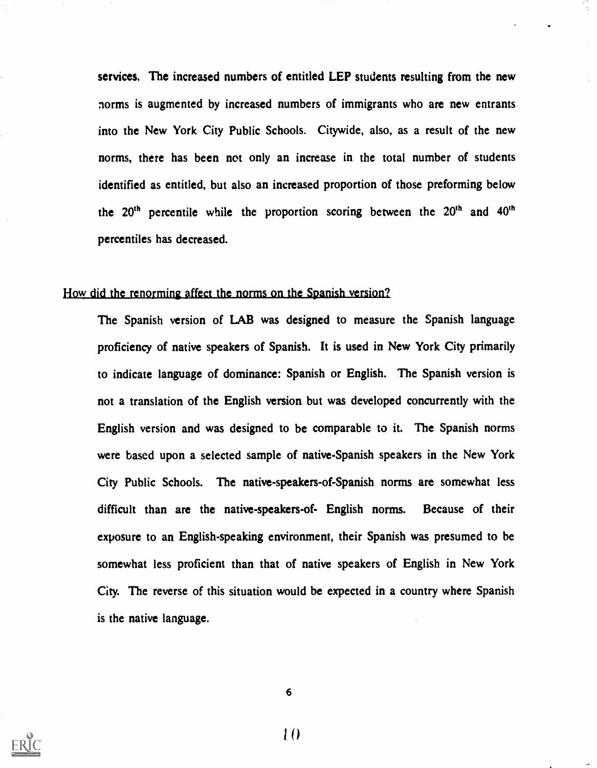services. The increased numbers of entitled LEP students resulting from the new norms is augmented by increased numbers of immigrants who are new entrants into the New York City Public Schools. Citywide, also, as a result of the new norms, there has been not only an increase in the total number of students identified as entitled, but also an increased proportion of those preforming below the  $20<sup>th</sup>$  percentile while the proportion scoring between the  $20<sup>th</sup>$  and  $40<sup>th</sup>$ percentiles has decreased.

### How did the renorming affect the norms on the Spanish version?

The Spanish version of LAB was designed to measure the Spanish language proficiency of native speakers of Spanish. It is used in New York City primarily to indicate language of dominance: Spanish or English. The Spanish version is not a translation of the English version but was developed concurrently with the English version and was designed to be comparable to it. The Spanish norms were based upon a selected sample of native-Spanish speakers in the New York City Public Schools. The native-speakers-of-Spanish norms are somewhat less difficult than are the native-speakers-of- English norms. Because of their exposure to an English-speaking environment, their Spanish was presumed to be somewhat less proficient than that of native speakers of English in New York City. The reverse of this situation would be expected in a country where Spanish is the native language.



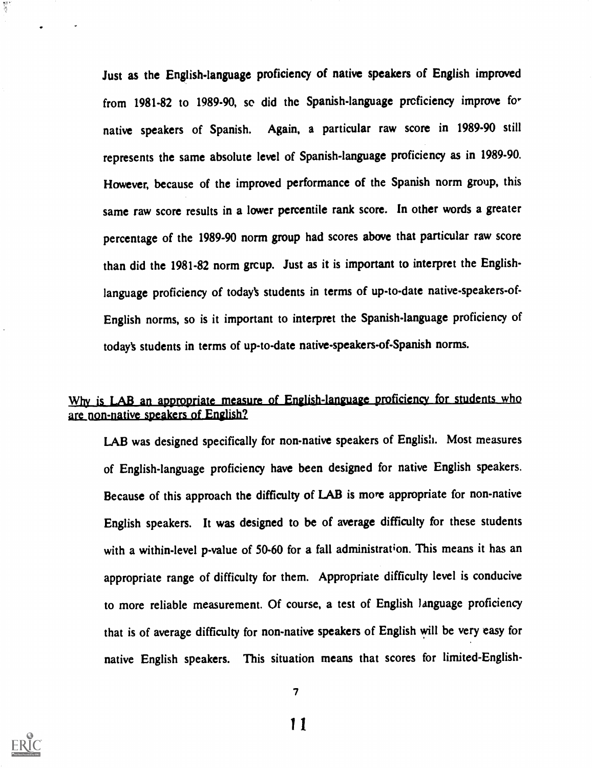Just as the English-language proficiency of native speakers of English improved from 1981-82 to 1989-90, so did the Spanish-language proficiency improve for native speakers of Spanish. Again, a particular raw score in 1989-90 still represents the same absolute level of Spanish-language proficiency as in 1989-90. However, because of the improved performance of the Spanish norm group, this same raw score results in a lower percentile rank score. In other words a greater percentage of the 1989-90 norm group had scores above that particular raw score than did the 1981-82 norm grcup. Just as it is important to interpret the Englishlanguage proficiency of today's students in terms of up-to-date native-speakers-of-English norms, so is it important to interpret the Spanish-language proficiency of today's students in terms of up-to-date native-speakers-of-Spanish norms.

## Why is LAB an appropriate measure of English-language proficiency for students who are non-native speakers of English?

LAB was designed specifically for non-native speakers of English. Most measures of English-language proficiency have been designed for native English speakers. Because of this approach the difficulty of LAB is more appropriate for non-native English speakers. It was designed to be of average difficulty for these students with a within-level p-value of 50-60 for a fall administration. This means it has an appropriate range of difficulty for them. Appropriate difficulty level is conducive to more reliable measurement. Of course, a test of English language proficiency that is of average difficulty for non-native speakers of English will be very easy for native English speakers. This situation means that scores for limited-English-

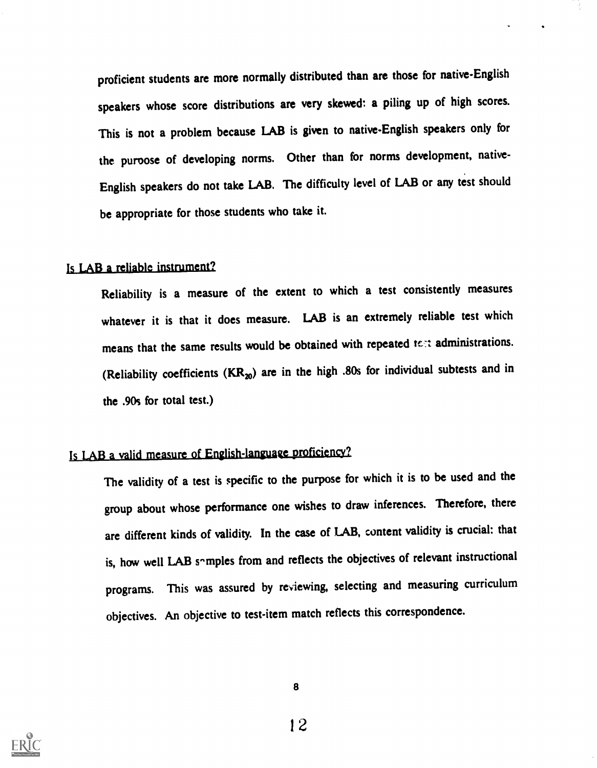proficient students are more normally distributed than are those for native-English speakers whose score distributions are very skewed: a piling up of high scores. This is not a problem because LAB is given to native-English speakers only for the puroose of developing norms. Other than for norms development, native-English speakers do not take LAB. The difficulty level of LAB or any test should be appropriate for those students who take it.

### Is LAB a reliable instrument?

Reliability is a measure of the extent to which a test consistently measures whatever it is that it does measure. LAB is an extremely reliable test which means that the same results would be obtained with repeated tc:t administrations. (Reliability coefficients  $(KR_{20})$  are in the high .80s for individual subtests and in the .90s for total test.)

## Is LAB a valid measure of English-language proficiency?

The validity of a test is specific to the purpose for which it is to be used and the group about whose performance one wishes to draw inferences. Therefore, there are different kinds of validity. In the case of LAB, content validity is crucial: that is, how well LAB somples from and reflects the objectives of relevant instructional programs. This was assured by reviewing, selecting and measuring curriculum objectives. An objective to test-item match reflects this correspondence.

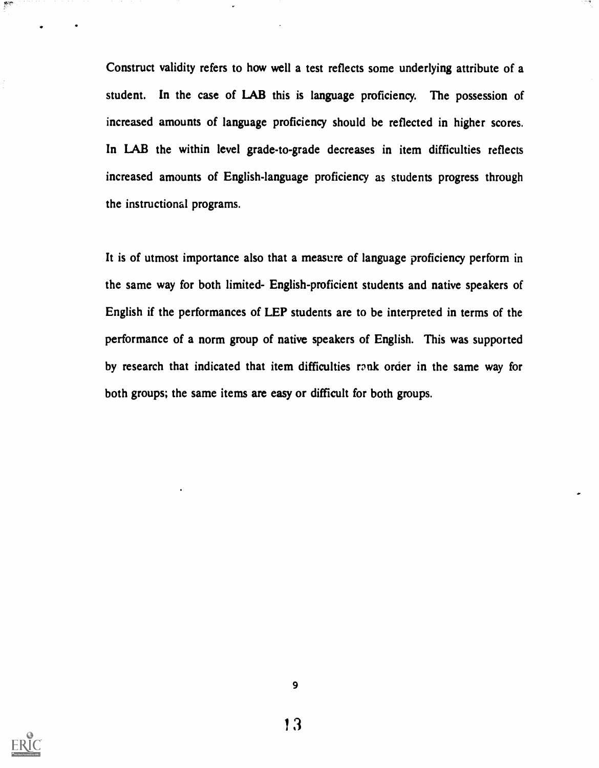Construct validity refers to how well a test reflects some underlying attribute of a student. In the case of LAB this is language proficiency. The possession of increased amounts of language proficiency should be reflected in higher scores. In LAB the within level grade-to-grade decreases in item difficulties reflects increased amounts of English-language proficiency as students progress through the instructional programs.

It is of utmost importance also that a measure of language proficiency perform in the same way for both limited- English-proficient students and native speakers of English if the performances of LEP students are to be interpreted in terms of the performance of a norm group of native speakers of English. This was supported by research that indicated that item difficulties rank order in the same way for both groups; the same items are easy or difficult for both groups.



 $\frac{d\mathbf{y}}{d\mathbf{x}}$ 

l3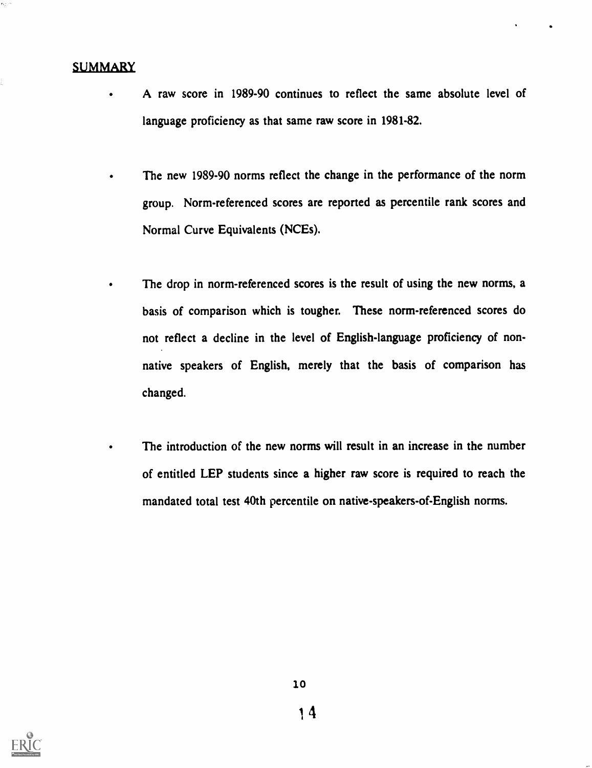## **SUMMARY**

 $\bullet$ 

- A raw score in 1989-90 continues to reflect the same absolute level of language proficiency as that same raw score in 1981-82.
- The new 1989-90 norms reflect the change in the performance of the norm group. Norm-referenced scores are reported as percentile rank scores and Normal Curve Equivalents (NCEs).
	- The drop in norm-referenced scores is the result of using the new norms, a basis of comparison which is tougher. These norm-referenced scores do not reflect a decline in the level of English-language proficiency of nonnative speakers of English, merely that the basis of comparison has changed.
		- The introduction of the new norms will result in an increase in the number of entitled LEP students since a higher raw score is required to reach the mandated total test 40th percentile on native-speakers-of-English norms.

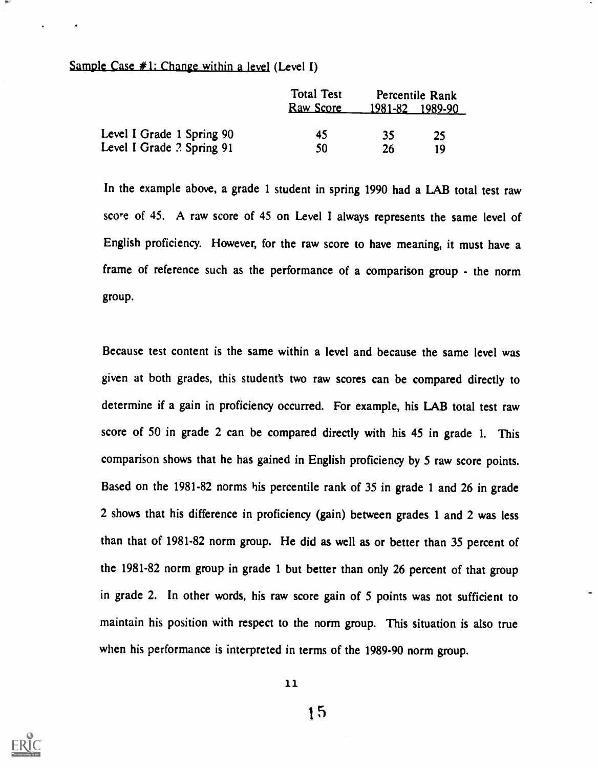## Sample Case  $\#1$ : Change within a level (Level I)

|                           | <b>Total Test</b><br><b>Raw Score</b> |    | Percentile Rank<br>1981-82 1989-90 |
|---------------------------|---------------------------------------|----|------------------------------------|
| Level I Grade 1 Spring 90 | 45                                    | 35 | -25                                |
| Level I Grade ? Spring 91 | 50                                    | 26 | 10                                 |

In the example above, a grade 1 student in spring 1990 had a LAB total test raw score of 45. A raw score of 45 on Level I always represents the same level of English proficiency. However, for the raw score to have meaning, it must have a frame of reference such as the performance of a comparison group - the norm group.

Because test content is the same within a level and because the same level was given at both grades, this student's two raw scores can be compared directly to determine if a gain in proficiency occurred. For example, his LAB total test raw score of 50 in grade 2 can be compared directly with his 45 in grade 1. This comparison shows that he has gained in English proficiency by 5 raw score points. Based on the 1981-82 norms his percentile rank of 35 in grade 1 and 26 in grade 2 shows that his difference in proficiency (gain) between grades 1 and 2 was less than that of 1981-82 norm group. He did as well as or better than 35 percent of the 1981-82 norm group in grade 1 but better than only 26 percent of that group in grade 2. In other words, his raw score gain of 5 points was not sufficient to maintain his position with respect to the norm group. This situation is also true when his performance is interpreted in terms of the 1989-90 norm group.



11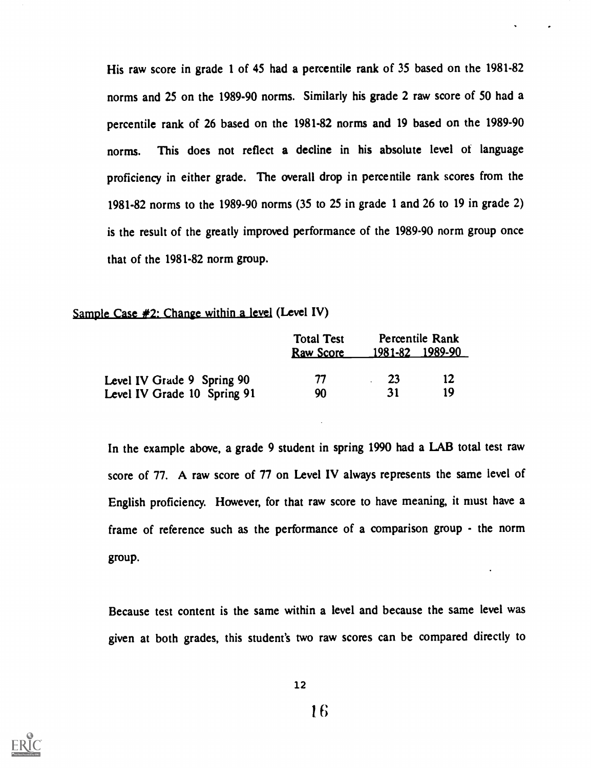His raw score in grade 1 of 45 had a percentile rank of 35 based on the 1981-82 norms and 25 on the 1989-90 norms. Similarly his grade 2 raw score of 50 had a percentile rank of 26 based on the 1981-82 norms and 19 based on the 1989-90 norms. This does not reflect a decline in his absolute level of language proficiency in either grade. The overall drop in percentile rank scores from the 1981-82 norms to the 1989-90 norms (35 to 25 in grade 1 and 26 to 19 in grade 2) is the result of the greatly improved performance of the 1989-90 norm group once that of the 1981-82 norm group.

#### Sample Case #2: Change within a level (Level IV)

|                             | <b>Total Test</b> | Percentile Rank |    |
|-----------------------------|-------------------|-----------------|----|
|                             | <b>Raw Score</b>  | 1981-82 1989-90 |    |
| Level IV Grade 9 Spring 90  | 77                | -23             | 12 |
| Level IV Grade 10 Spring 91 | 90                | 31              | 19 |

In the example above, a grade 9 student in spring 1990 had a LAB total test raw score of 77. A raw score of 77 on Level IV always represents the same level of English proficiency. However, for that raw score to have meaning, it must have a frame of reference such as the performance of a comparison group - the norm group.

Because test content is the same within a level and because the same level was given at both grades, this student's two raw scores can be compared directly to

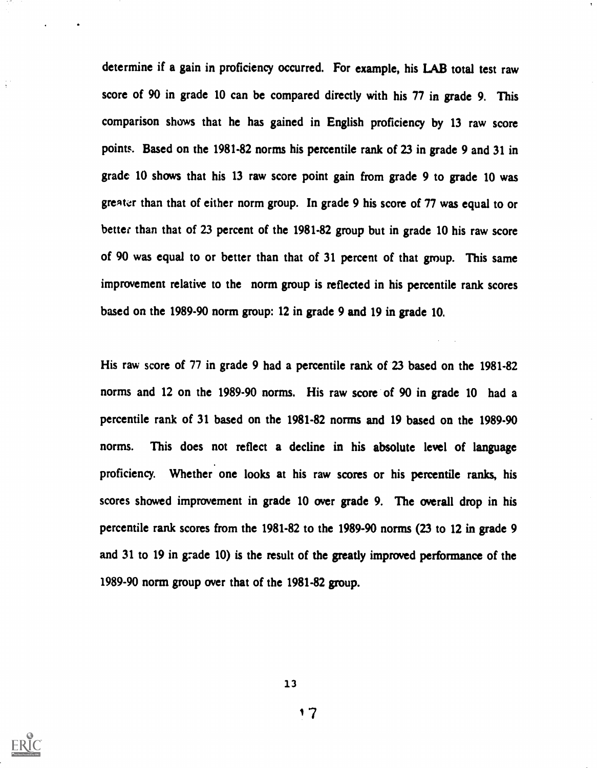determine if a gain in proficiency occurred. For example, his LAB total test raw score of 90 in grade 10 can be compared directly with his 77 in grade 9. This comparison shows that he has gained in English proficiency by 13 raw score points. Based on the 1981-82 norms his percentile rank of 23 in grade 9 and 31 in grade 10 shows that his 13 raw score point gain from grade 9 to grade 10 was greater than that of either norm group. In grade 9 his score of 77 was equal to or better than that of 23 percent of the 1981-82 group but in grade 10 his raw score of 90 was equal to or better than that of 31 percent of that group. This same improvement relative to the norm group is reflected in his percentile rank scores based on the 1989-90 norm group: 12 in grade 9 and 19 in grade 10.

His raw score of 77 in grade 9 had a percentile rank of 23 based on the 1981-82 norms and 12 on the 1989-90 norms. His raw score of 90 in grade 10 had a percentile rank of 31 based on the 1981-82 norms and 19 based on the 1989-90 norms. This does not reflect a decline in his absolute level of language proficiency. Whether one looks at his raw scores or his percentile ranks, his scores showed improvement in grade 10 over grade 9. The overall drop in his percentile rank scores from the 1981-82 to the 1989-90 norms (23 to 12 in grade 9 and 31 to 19 in g:ade 10) is the result of the greatly improved performance of the 1989-90 norm group over that of the 1981-82 group.



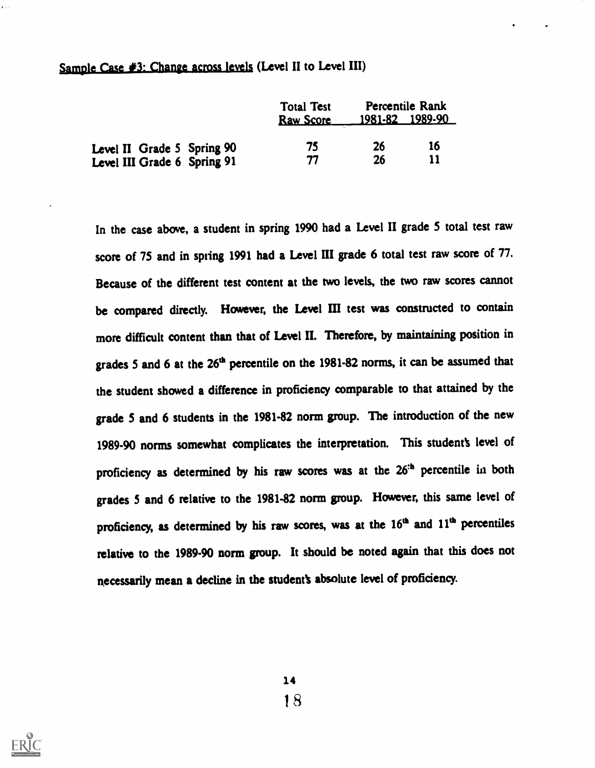## Sample Case  $#3$ : Change across levels (Level II to Level III)

|                             | <b>Total Test</b><br><b>Raw Score</b> |    | Percentile Rank<br>1981-82 1989-90 |
|-----------------------------|---------------------------------------|----|------------------------------------|
| Level II Grade 5 Spring 90  | 75                                    | 26 | 16                                 |
| Level III Grade 6 Spring 91 | 77                                    | 26 | 11                                 |

In the case above, a student in spring 1990 had a Level II grade 5 total test raw score of 75 and in spring 1991 had a Level III grade 6 total test raw score of 77. Because of the different test content at the two levels, the two raw scores cannot be compared directly. However, the Level HI test was constructed to contain more difficult content than that of Level II. Therefore, by maintaining position in grades 5 and 6 at the 26<sup>th</sup> percentile on the 1981-82 norms, it can be assumed that the student showed a difference in proficiency comparable to that attained by the grade 5 and 6 students in the 1981-82 norm group. The introduction of the new 1989-90 norms somewhat complicates the interpretation. This student's level of proficiency as determined by his raw scores was at the 26<sup>th</sup> percentile in both grades 5 and 6 relative to the 1981-82 norm group. However, this same level of proficiency, as determined by his raw scores, was at the 16<sup>th</sup> and 11<sup>th</sup> percentiles relative to the 1989-90 norm group. It should be noted again that this does not necessarily mean a decline in the student's absolute level of proficiency.